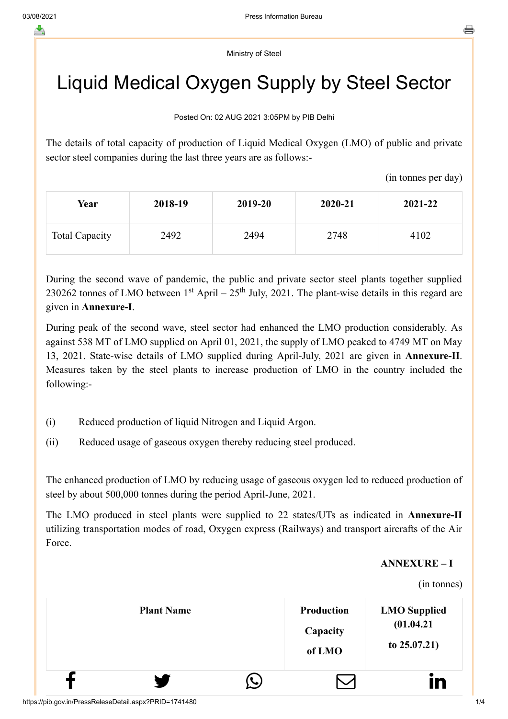Ministry of Steel

## Liquid Medical Oxygen Supply by Steel Sector

Posted On: 02 AUG 2021 3:05PM by PIB Delhi

The details of total capacity of production of Liquid Medical Oxygen (LMO) of public and private sector steel companies during the last three years are as follows:-

(in tonnes per day)

| Year                  | 2018-19 | 2019-20 | 2020-21 | 2021-22 |
|-----------------------|---------|---------|---------|---------|
| <b>Total Capacity</b> | 2492    | 2494    | 2748    | 4102    |

During the second wave of pandemic, the public and private sector steel plants together supplied 230262 tonnes of LMO between  $1<sup>st</sup>$  April – 25<sup>th</sup> July, 2021. The plant-wise details in this regard are given in **Annexure-I**.

During peak of the second wave, steel sector had enhanced the LMO production considerably. As against 538 MT of LMO supplied on April 01, 2021, the supply of LMO peaked to 4749 MT on May 13, 2021. State-wise details of LMO supplied during April-July, 2021 are given in **Annexure-II**. Measures taken by the steel plants to increase production of LMO in the country included the following:-

- (i) Reduced production of liquid Nitrogen and Liquid Argon.
- (ii) Reduced usage of gaseous oxygen thereby reducing steel produced.

The enhanced production of LMO by reducing usage of gaseous oxygen led to reduced production of steel by about 500,000 tonnes during the period April-June, 2021.

The LMO produced in steel plants were supplied to 22 states/UTs as indicated in **Annexure-II** utilizing transportation modes of road, Oxygen express (Railways) and transport aircrafts of the Air Force.

## **ANNEXURE – I**

(in tonnes)

| <b>Plant Name</b> |               | <b>Production</b><br>Capacity<br>of LMO | <b>LMO Supplied</b><br>(01.04.21)<br>to $25.07.21$ ) |
|-------------------|---------------|-----------------------------------------|------------------------------------------------------|
| ¥                 | $\mathcal{L}$ |                                         | in                                                   |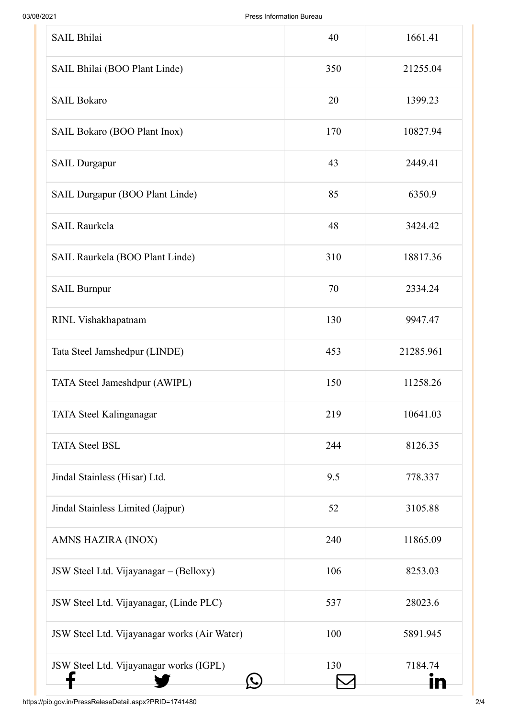| <b>SAIL Bhilai</b>                           | 40  | 1661.41   |
|----------------------------------------------|-----|-----------|
| SAIL Bhilai (BOO Plant Linde)                | 350 | 21255.04  |
| <b>SAIL Bokaro</b>                           | 20  | 1399.23   |
| SAIL Bokaro (BOO Plant Inox)                 | 170 | 10827.94  |
| <b>SAIL Durgapur</b>                         | 43  | 2449.41   |
| SAIL Durgapur (BOO Plant Linde)              | 85  | 6350.9    |
| <b>SAIL Raurkela</b>                         | 48  | 3424.42   |
| SAIL Raurkela (BOO Plant Linde)              | 310 | 18817.36  |
| <b>SAIL Burnpur</b>                          | 70  | 2334.24   |
| RINL Vishakhapatnam                          | 130 | 9947.47   |
| Tata Steel Jamshedpur (LINDE)                | 453 | 21285.961 |
| TATA Steel Jameshdpur (AWIPL)                | 150 | 11258.26  |
| TATA Steel Kalinganagar                      | 219 | 10641.03  |
| <b>TATA Steel BSL</b>                        | 244 | 8126.35   |
| Jindal Stainless (Hisar) Ltd.                | 9.5 | 778.337   |
| Jindal Stainless Limited (Jajpur)            | 52  | 3105.88   |
| AMNS HAZIRA (INOX)                           | 240 | 11865.09  |
| JSW Steel Ltd. Vijayanagar - (Belloxy)       | 106 | 8253.03   |
| JSW Steel Ltd. Vijayanagar, (Linde PLC)      | 537 | 28023.6   |
| JSW Steel Ltd. Vijayanagar works (Air Water) | 100 | 5891.945  |
| JSW Steel Ltd. Vijayanagar works (IGPL)      | 130 | 7184.74   |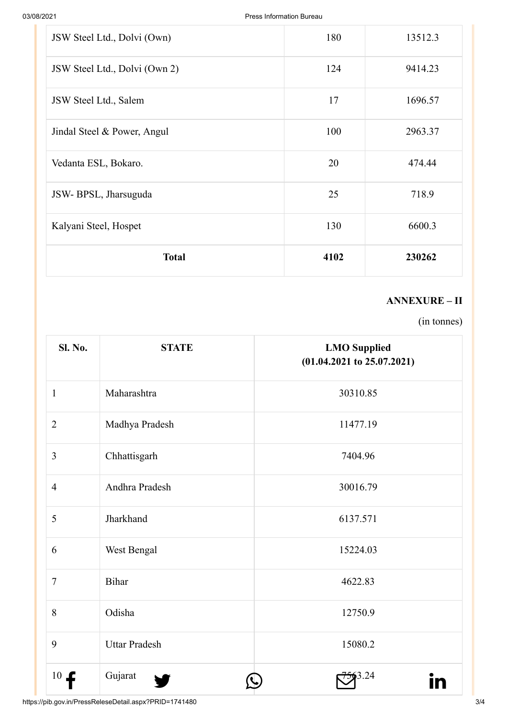| JSW Steel Ltd., Dolvi (Own)   | 180  | 13512.3 |
|-------------------------------|------|---------|
| JSW Steel Ltd., Dolvi (Own 2) | 124  | 9414.23 |
| JSW Steel Ltd., Salem         | 17   | 1696.57 |
| Jindal Steel & Power, Angul   | 100  | 2963.37 |
| Vedanta ESL, Bokaro.          | 20   | 474.44  |
| JSW-BPSL, Jharsuguda          | 25   | 718.9   |
| Kalyani Steel, Hospet         | 130  | 6600.3  |
| <b>Total</b>                  | 4102 | 230262  |

## **ANNEXURE – II**

(in tonnes)

| <b>Sl. No.</b> | <b>STATE</b>         | <b>LMO</b> Supplied<br>$(01.04.2021$ to $25.07.2021)$ |
|----------------|----------------------|-------------------------------------------------------|
| $\mathbf{1}$   | Maharashtra          | 30310.85                                              |
| $\overline{2}$ | Madhya Pradesh       | 11477.19                                              |
| $\overline{3}$ | Chhattisgarh         | 7404.96                                               |
| $\overline{4}$ | Andhra Pradesh       | 30016.79                                              |
| 5              | Jharkhand            | 6137.571                                              |
| 6              | West Bengal          | 15224.03                                              |
| $\overline{7}$ | Bihar                | 4622.83                                               |
| 8              | Odisha               | 12750.9                                               |
| 9              | <b>Uttar Pradesh</b> | 15080.2                                               |
| 10<br>£        | Gujarat              | 3.24                                                  |